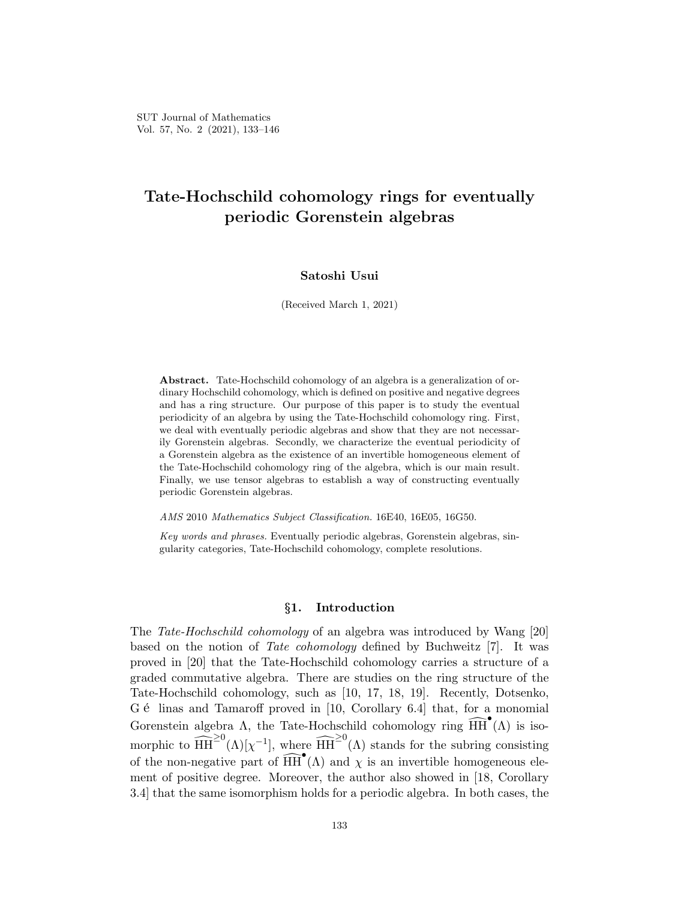# **Tate-Hochschild cohomology rings for eventually periodic Gorenstein algebras**

# **Satoshi Usui**

(Received March 1, 2021)

**Abstract.** Tate-Hochschild cohomology of an algebra is a generalization of ordinary Hochschild cohomology, which is defined on positive and negative degrees and has a ring structure. Our purpose of this paper is to study the eventual periodicity of an algebra by using the Tate-Hochschild cohomology ring. First, we deal with eventually periodic algebras and show that they are not necessarily Gorenstein algebras. Secondly, we characterize the eventual periodicity of a Gorenstein algebra as the existence of an invertible homogeneous element of the Tate-Hochschild cohomology ring of the algebra, which is our main result. Finally, we use tensor algebras to establish a way of constructing eventually periodic Gorenstein algebras.

*AMS* 2010 *Mathematics Subject Classification.* 16E40, 16E05, 16G50.

*Key words and phrases.* Eventually periodic algebras, Gorenstein algebras, singularity categories, Tate-Hochschild cohomology, complete resolutions.

#### *§***1. Introduction**

The *Tate-Hochschild cohomology* of an algebra was introduced by Wang [20] based on the notion of *Tate cohomology* defined by Buchweitz [7]. It was proved in [20] that the Tate-Hochschild cohomology carries a structure of a graded commutative algebra. There are studies on the ring structure of the Tate-Hochschild cohomology, such as [10, 17, 18, 19]. Recently, Dotsenko, G é linas and Tamaroff proved in [10, Corollary 6.4] that, for a monomial Gorenstein algebra  $\Lambda$ , the Tate-Hochschild cohomology ring  $\widehat{HH}^{\bullet}(\Lambda)$  is isomorphic to  $\widehat{HH}^{\geq 0}(\Lambda)[\chi^{-1}]$ , where  $\widehat{HH}^{\geq 0}(\Lambda)$  stands for the subring consisting of the non-negative part of  $\widehat{HH}^{\bullet}(\Lambda)$  and  $\chi$  is an invertible homogeneous element of positive degree. Moreover, the author also showed in [18, Corollary 3.4] that the same isomorphism holds for a periodic algebra. In both cases, the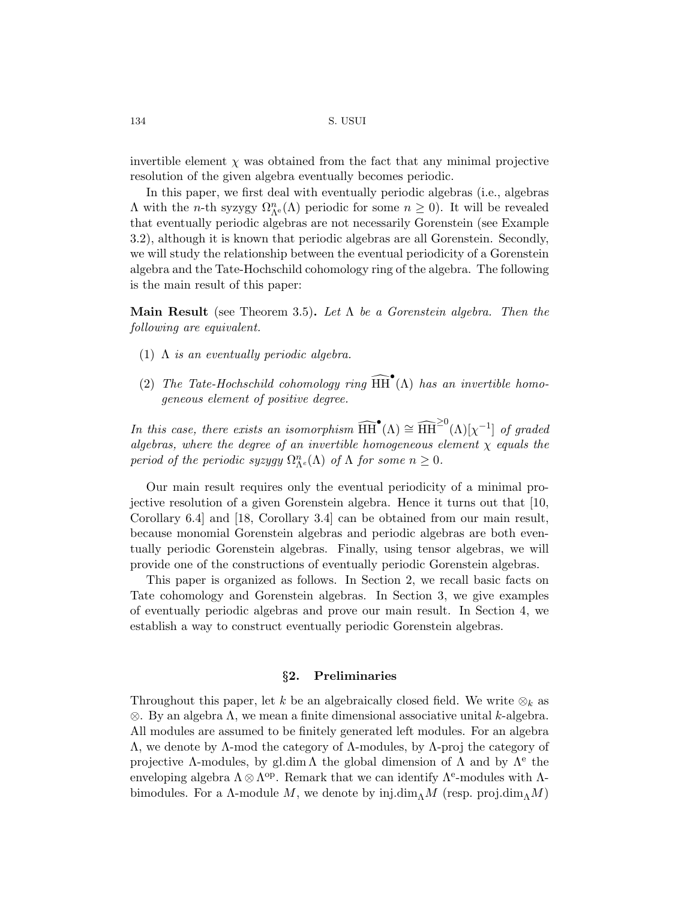invertible element  $\chi$  was obtained from the fact that any minimal projective resolution of the given algebra eventually becomes periodic.

In this paper, we first deal with eventually periodic algebras (i.e., algebras  $Λ$  with the *n*-th syzygy  $Ω<sup>n</sup><sub>Λ</sub><sup>e</sup>(Λ)$  periodic for some *n* ≥ 0). It will be revealed that eventually periodic algebras are not necessarily Gorenstein (see Example 3.2), although it is known that periodic algebras are all Gorenstein. Secondly, we will study the relationship between the eventual periodicity of a Gorenstein algebra and the Tate-Hochschild cohomology ring of the algebra. The following is the main result of this paper:

**Main Result** (see Theorem 3.5)**.** *Let* Λ *be a Gorenstein algebra. Then the following are equivalent.*

- (1) Λ *is an eventually periodic algebra.*
- (2) *The Tate-Hochschild cohomology ring*  $\widehat{HH}^{\bullet}(\Lambda)$  *has an invertible homogeneous element of positive degree.*

*In this case, there exists an isomorphism*  $\widehat{HH}^{\bullet}(\Lambda) \cong \widehat{HH}^{20}(\Lambda)[\chi^{-1}]$  *of graded algebras, where the degree of an invertible homogeneous element χ equals the period of the periodic syzygy*  $\Omega_{\Lambda}^n(\Lambda)$  *of*  $\Lambda$  *for some*  $n \geq 0$ *.* 

Our main result requires only the eventual periodicity of a minimal projective resolution of a given Gorenstein algebra. Hence it turns out that [10, Corollary 6.4] and [18, Corollary 3.4] can be obtained from our main result, because monomial Gorenstein algebras and periodic algebras are both eventually periodic Gorenstein algebras. Finally, using tensor algebras, we will provide one of the constructions of eventually periodic Gorenstein algebras.

This paper is organized as follows. In Section 2, we recall basic facts on Tate cohomology and Gorenstein algebras. In Section 3, we give examples of eventually periodic algebras and prove our main result. In Section 4, we establish a way to construct eventually periodic Gorenstein algebras.

# *§***2. Preliminaries**

Throughout this paper, let *k* be an algebraically closed field. We write  $\otimes_k$  as *⊗*. By an algebra Λ, we mean a finite dimensional associative unital *k*-algebra. All modules are assumed to be finitely generated left modules. For an algebra Λ, we denote by Λ-mod the category of Λ-modules, by Λ-proj the category of projective  $\Lambda$ -modules, by gl.dim  $\Lambda$  the global dimension of  $\Lambda$  and by  $\Lambda^e$  the enveloping algebra  $\Lambda \otimes \Lambda^{\text{op}}$ . Remark that we can identify  $\Lambda^{\text{e}}$ -modules with  $\Lambda$ bimodules. For a  $\Lambda$ -module M, we denote by inj.dim<sub> $\Lambda$ </sub>M (resp. proj.dim $_{\Lambda}$ M)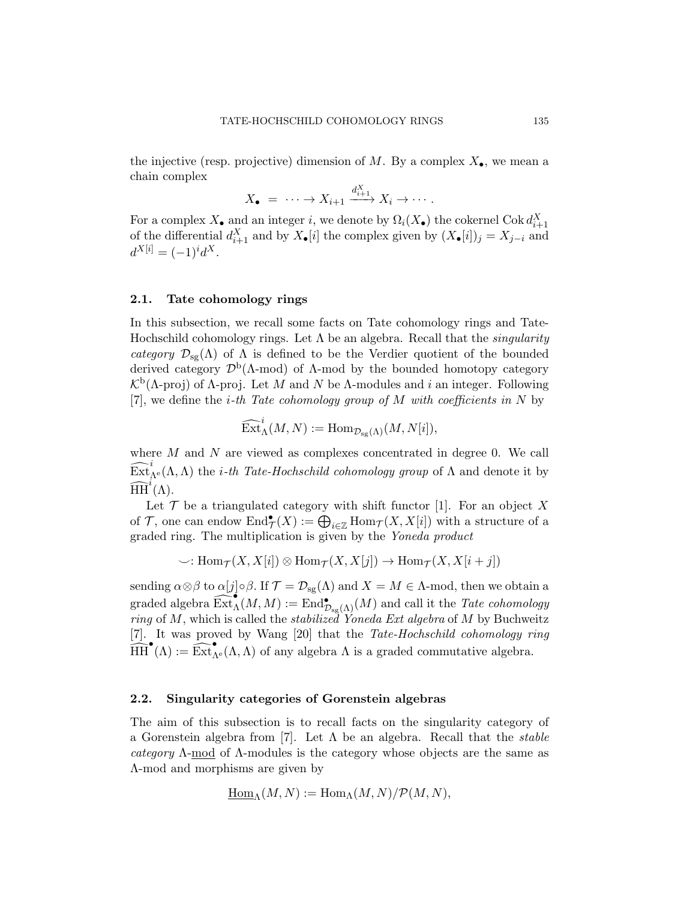the injective (resp. projective) dimension of  $M$ . By a complex  $X_{\bullet}$ , we mean a chain complex

$$
X_{\bullet} = \cdots \to X_{i+1} \xrightarrow{d_{i+1}^X} X_i \to \cdots.
$$

For a complex  $X_{\bullet}$  and an integer *i*, we denote by  $\Omega_i(X_{\bullet})$  the cokernel Cok  $d_{i+1}^X$ of the differential  $d_{i+1}^X$  and by  $X_{\bullet}[i]$  the complex given by  $(X_{\bullet}[i])_j = X_{j-i}$  and  $d^{X[i]} = (-1)^i d^X.$ 

#### **2.1. Tate cohomology rings**

In this subsection, we recall some facts on Tate cohomology rings and Tate-Hochschild cohomology rings. Let Λ be an algebra. Recall that the *singularity category*  $\mathcal{D}_{sg}(\Lambda)$  of  $\Lambda$  is defined to be the Verdier quotient of the bounded derived category *D*<sup>b</sup> (Λ-mod) of Λ-mod by the bounded homotopy category  $\mathcal{K}^{\mathsf{b}}(\Lambda\text{-proj})$  of Λ-proj. Let *M* and *N* be Λ-modules and *i* an integer. Following [7], we define the *i-th Tate cohomology group of M with coefficients in N* by

$$
\widehat{\operatorname{Ext}}^i_{\Lambda}(M,N):=\operatorname{Hom}_{\mathcal{D}_{\operatorname{sg}}(\Lambda)}(M,N[i]),
$$

where *M* and *N* are viewed as complexes concentrated in degree 0. We call  $\widehat{\operatorname{Ext}}_{\Lambda^e}^i(\Lambda,\Lambda)$  the *i*-th *Tate-Hochschild cohomology group* of  $\Lambda$  and denote it by  $\widehat{\text{HH}}^i(\Lambda)$ .

Let  $\mathcal T$  be a triangulated category with shift functor [1]. For an object  $X$ of *T*, one can endow  $\text{End}_{\mathcal{I}}^{\bullet}(X) := \bigoplus_{i \in \mathbb{Z}} \text{Hom}_{\mathcal{I}}(X, X[i])$  with a structure of a graded ring. The multiplication is given by the *Yoneda product*

$$
\smile: \operatorname{Hom}\nolimits_{\mathcal T}(X,X[i]) \otimes \operatorname{Hom}\nolimits_{\mathcal T}(X,X[j]) \to \operatorname{Hom}\nolimits_{\mathcal T}(X,X[i+j])
$$

sending  $\alpha \otimes \beta$  to  $\alpha[j] \circ \beta$ . If  $\mathcal{T} = \mathcal{D}_{sg}(\Lambda)$  and  $X = M \in \Lambda$ -mod, then we obtain a  $\operatorname{graded}$  algebra  $\operatorname{\widehat{Ext}}\nolimits_{\Lambda}^{\bullet}(M,M) := \operatorname{End}\nolimits_{\operatorname{D}_{\operatorname{sg}\nolimits}(\Lambda)}^{\bullet}(M)$  and call it the *Tate cohomology ring* of *M*, which is called the *stabilized Yoneda Ext algebra* of *M* by Buchweitz [7]. It was proved by Wang [20] that the *Tate-Hochschild cohomology ring*  $\widehat{HH}^{\bullet}(\Lambda) := \widehat{\text{Ext}}^{\bullet}_{\Lambda^e}(\Lambda, \Lambda)$  of any algebra  $\Lambda$  is a graded commutative algebra.

#### **2.2. Singularity categories of Gorenstein algebras**

The aim of this subsection is to recall facts on the singularity category of a Gorenstein algebra from [7]. Let Λ be an algebra. Recall that the *stable category* Λ-mod of Λ-modules is the category whose objects are the same as Λ-mod and morphisms are given by

$$
\underline{\mathrm{Hom}}_{\Lambda}(M,N) := \mathrm{Hom}_{\Lambda}(M,N)/\mathcal{P}(M,N),
$$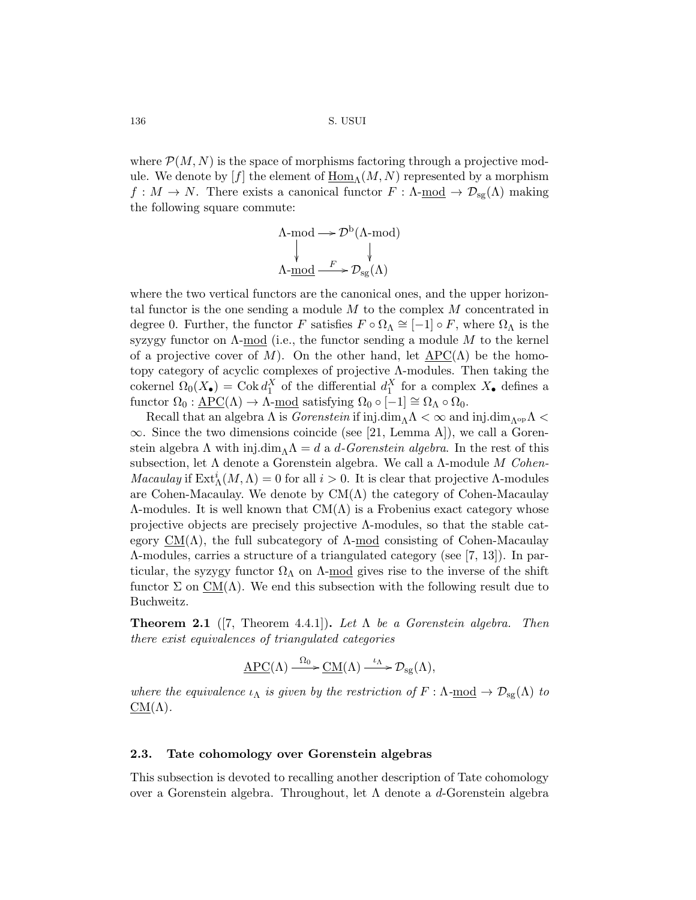where  $P(M, N)$  is the space of morphisms factoring through a projective module. We denote by  $[f]$  the element of  $\underline{Hom}_{\Lambda}(M, N)$  represented by a morphism  $f: M \to N$ . There exists a canonical functor  $F: \Lambda$ -mod  $\to \mathcal{D}_{sg}(\Lambda)$  making the following square commute:

$$
\Lambda \text{-mod} \longrightarrow \mathcal{D}^{\text{b}}(\Lambda \text{-mod})
$$
  
\$\downarrow\$  

$$
\Lambda \text{-mod} \xrightarrow{F} \mathcal{D}_{\text{sg}}(\Lambda)
$$

where the two vertical functors are the canonical ones, and the upper horizontal functor is the one sending a module *M* to the complex *M* concentrated in degree 0. Further, the functor *F* satisfies  $F \circ \Omega_{\Lambda} \cong [-1] \circ F$ , where  $\Omega_{\Lambda}$  is the syzygy functor on Λ-mod (i.e., the functor sending a module *M* to the kernel of a projective cover of M). On the other hand, let  $\text{APC}(\Lambda)$  be the homotopy category of acyclic complexes of projective Λ-modules. Then taking the cokernel  $\Omega_0(X_{\bullet}) = \text{Cok } d_1^X$  of the differential  $d_1^X$  for a complex  $X_{\bullet}$  defines a functor  $\Omega_0 : \underline{APC}(\Lambda) \to \Lambda$ -mod satisfying  $\Omega_0 \circ [-1] \cong \Omega_\Lambda \circ \Omega_0$ .

Recall that an algebra  $\Lambda$  is *Gorenstein* if inj.dim<sub> $\Lambda$ </sub>  $\Lambda$   $\sim \infty$  and inj.dim<sub> $\Lambda$ <sup>op</sup> $\Lambda$   $\sim$ </sub> *∞*. Since the two dimensions coincide (see [21, Lemma A]), we call a Gorenstein algebra  $\Lambda$  with inj.dim<sub> $\Lambda$ </sub> $\Lambda$  = *d* a *d*-Gorenstein algebra. In the rest of this subsection, let Λ denote a Gorenstein algebra. We call a Λ-module *M Cohen-Macaulay* if  $\text{Ext}^i_{\Lambda}(M,\Lambda) = 0$  for all  $i > 0$ . It is clear that projective  $\Lambda$ -modules are Cohen-Macaulay. We denote by  $CM(\Lambda)$  the category of Cohen-Macaulay  $\Lambda$ -modules. It is well known that  $CM(\Lambda)$  is a Frobenius exact category whose projective objects are precisely projective Λ-modules, so that the stable category  $CM(\Lambda)$ , the full subcategory of  $\Lambda$ -mod consisting of Cohen-Macaulay Λ-modules, carries a structure of a triangulated category (see [7, 13]). In particular, the syzygy functor  $\Omega_{\Lambda}$  on  $\Lambda$ -mod gives rise to the inverse of the shift functor  $\Sigma$  on  $CM(\Lambda)$ . We end this subsection with the following result due to Buchweitz.

**Theorem 2.1** ([7, Theorem 4.4.1])**.** *Let* Λ *be a Gorenstein algebra. Then there exist equivalences of triangulated categories*

$$
\underline{\text{APC}}(\Lambda) \xrightarrow{\Omega_0} \underline{\text{CM}}(\Lambda) \xrightarrow{\iota_{\Lambda}} \mathcal{D}_{\text{sg}}(\Lambda),
$$

*where the equivalence*  $\iota_{\Lambda}$  *is given by the restriction of*  $F : \Lambda$ -<u>mod</u>  $\rightarrow \mathcal{D}_{sg}(\Lambda)$  *to*  $\underline{\mathrm{CM}}(\Lambda)$ .

## **2.3. Tate cohomology over Gorenstein algebras**

This subsection is devoted to recalling another description of Tate cohomology over a Gorenstein algebra. Throughout, let Λ denote a *d*-Gorenstein algebra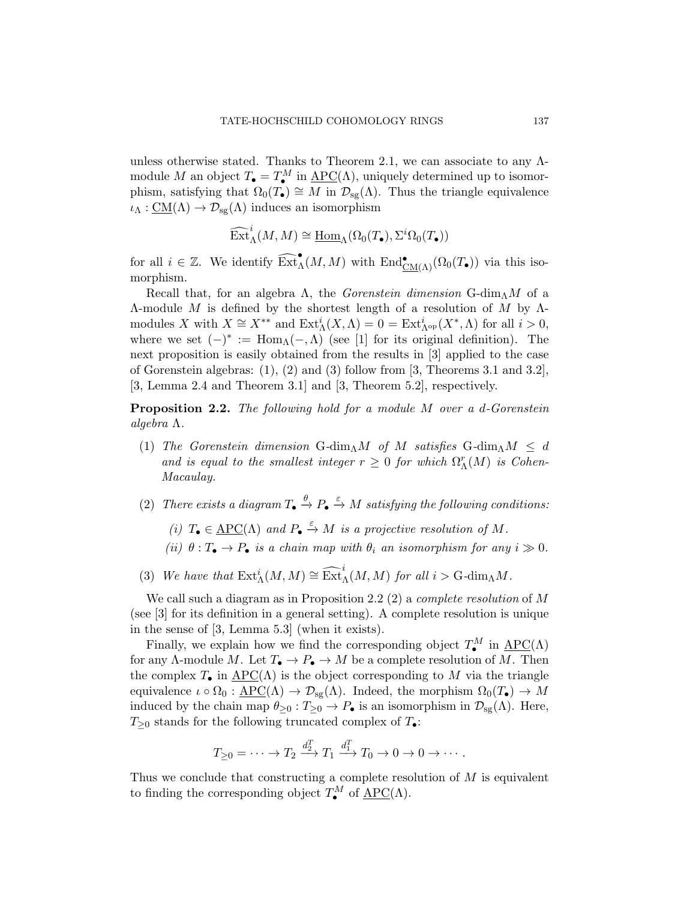unless otherwise stated. Thanks to Theorem 2.1, we can associate to any  $\Lambda$ module *M* an object  $T_{\bullet} = T_{\bullet}^{M}$  in  $\underline{APC}(\Lambda)$ , uniquely determined up to isomor-*•* phism, satisfying that Ω0(*T•*) *<sup>∼</sup>*<sup>=</sup> *<sup>M</sup>* in *<sup>D</sup>*sg(Λ). Thus the triangle equivalence  $\iota_{\Lambda} : \underline{\text{CM}}(\Lambda) \to \mathcal{D}_{\text{sg}}(\Lambda)$  induces an isomorphism

$$
\widehat{\operatorname{Ext}}^i_{\Lambda}(M,M) \cong \underline{\operatorname{Hom}}_{\Lambda}(\Omega_0(T_{\bullet}),\Sigma^i \Omega_0(T_{\bullet}))
$$

for all  $i \in \mathbb{Z}$ . We identify  $\widehat{\text{Ext}}_{\Lambda}^{\bullet}(M, M)$  with  $\text{End}^{\bullet}_{\underline{\text{CM}}(\Lambda)}(\Omega_0(T_{\bullet}))$  via this isomorphism.

Recall that, for an algebra  $\Lambda$ , the *Gorenstein dimension* G-dim<sub> $\Lambda$ </sub>*M* of a Λ-module *M* is defined by the shortest length of a resolution of *M* by Λmodules *X* with  $X \cong X^{**}$  and  $\text{Ext}^i_{\Lambda}(X, \Lambda) = 0 = \text{Ext}^i_{\Lambda^{op}}(X^*, \Lambda)$  for all  $i > 0$ , where we set  $(-)^* := \text{Hom}_{\Lambda}(-, \Lambda)$  (see [1] for its original definition). The next proposition is easily obtained from the results in [3] applied to the case of Gorenstein algebras: (1), (2) and (3) follow from [3, Theorems 3.1 and 3.2], [3, Lemma 2.4 and Theorem 3.1] and [3, Theorem 5.2], respectively.

**Proposition 2.2.** *The following hold for a module M over a d-Gorenstein algebra* Λ*.*

- (1) *The Gorenstein dimension* G-dim $\Lambda M$  *of*  $M$  *satisfies* G-dim $\Lambda M \leq d$ *and is equal to the smallest integer*  $r \geq 0$  *for which*  $\Omega_{\Lambda}^{r}(M)$  *is Cohen-Macaulay.*
- (2) *There exists a diagram*  $T_{\bullet} \xrightarrow{\theta} P_{\bullet} \xrightarrow{\varepsilon} M$  *satisfying the following conditions:* 
	- *(i)*  $T_{\bullet} \in \underline{\text{APC}}(\Lambda)$  *and*  $P_{\bullet} \xrightarrow{\varepsilon} M$  *is a projective resolution of*  $M$ *.*
	- *(ii)*  $\theta: T_{\bullet} \to P_{\bullet}$  *is a chain map with*  $\theta_i$  *an isomorphism for any*  $i \gg 0$ .
- (3) We have that  $\text{Ext}_{\Lambda}^{i}(M, M) \cong \widehat{\text{Ext}}_{\Lambda}^{i}(M, M)$  *for all*  $i > \text{G-dim}_{\Lambda}M$ *.*

We call such a diagram as in Proposition 2.2 (2) a *complete resolution* of *M* (see [3] for its definition in a general setting). A complete resolution is unique in the sense of [3, Lemma 5.3] (when it exists).

Finally, we explain how we find the corresponding object  $T_{\bullet}^M$  in  $\text{APC}(\Lambda)$ *•* for any Λ-module *M*. Let *T• → P• → M* be a complete resolution of *M*. Then the complex  $T_{\bullet}$  in  $\underline{\text{APC}}(\Lambda)$  is the object corresponding to M via the triangle equivalence  $\iota \circ \Omega_0 : \underline{APC}(\Lambda) \to \mathcal{D}_{sg}(\Lambda)$ . Indeed, the morphism  $\Omega_0(T_{\bullet}) \to M$ induced by the chain map  $\theta_{\geq 0} : T_{\geq 0} \to P_{\bullet}$  is an isomorphism in  $\mathcal{D}_{sg}(\Lambda)$ . Here, *T*≥<sup>0</sup> stands for the following truncated complex of  $T$ <sup>•</sup>:

$$
T_{\geq 0} = \cdots \to T_2 \xrightarrow{d_2^T} T_1 \xrightarrow{d_1^T} T_0 \to 0 \to 0 \to \cdots.
$$

Thus we conclude that constructing a complete resolution of *M* is equivalent to finding the corresponding object  $T_{\bullet}^M$  of  $\underline{\text{APC}}(\Lambda)$ .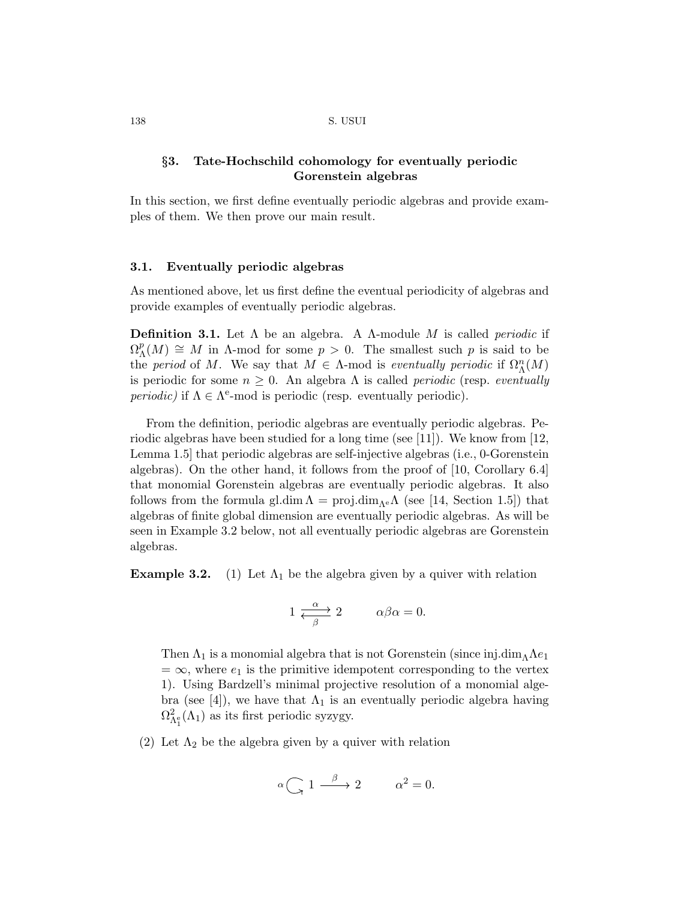# *§***3. Tate-Hochschild cohomology for eventually periodic Gorenstein algebras**

In this section, we first define eventually periodic algebras and provide examples of them. We then prove our main result.

#### **3.1. Eventually periodic algebras**

As mentioned above, let us first define the eventual periodicity of algebras and provide examples of eventually periodic algebras.

**Definition 3.1.** Let Λ be an algebra. A Λ-module *M* is called *periodic* if  $\Omega^p_{\Lambda}$  $\Lambda(N) \cong M$  in  $\Lambda$ -mod for some  $p > 0$ . The smallest such  $p$  is said to be the *period* of *M*. We say that  $M \in \Lambda$ -mod is *eventually periodic* if  $\Omega_{\Lambda}^n(M)$ is periodic for some  $n \geq 0$ . An algebra  $\Lambda$  is called *periodic* (resp. *eventually periodic*) if  $\Lambda \in \Lambda^e$ -mod is periodic (resp. eventually periodic).

From the definition, periodic algebras are eventually periodic algebras. Periodic algebras have been studied for a long time (see [11]). We know from [12, Lemma 1.5] that periodic algebras are self-injective algebras (i.e., 0-Gorenstein algebras). On the other hand, it follows from the proof of [10, Corollary 6.4] that monomial Gorenstein algebras are eventually periodic algebras. It also follows from the formula gl.dim  $\Lambda = \text{proj.dim}_{\Lambda^e} \Lambda$  (see [14, Section 1.5]) that algebras of finite global dimension are eventually periodic algebras. As will be seen in Example 3.2 below, not all eventually periodic algebras are Gorenstein algebras.

**Example 3.2.** (1) Let  $\Lambda_1$  be the algebra given by a quiver with relation

$$
1 \xrightarrow{\alpha} 2 \qquad \alpha\beta\alpha = 0.
$$

Then  $\Lambda_1$  is a monomial algebra that is not Gorenstein (since inj.dim<sub> $\Lambda$ </sub> $\Lambda$ *e*<sub>1</sub>  $= \infty$ , where  $e_1$  is the primitive idempotent corresponding to the vertex 1). Using Bardzell's minimal projective resolution of a monomial algebra (see [4]), we have that  $\Lambda_1$  is an eventually periodic algebra having  $\Omega_{\Lambda_1^e}^2(\Lambda_1)$  as its first periodic syzygy.

(2) Let  $\Lambda_2$  be the algebra given by a quiver with relation

$$
\alpha \bigodot 1 \stackrel{\beta}{\longrightarrow} 2 \qquad \alpha^2 = 0.
$$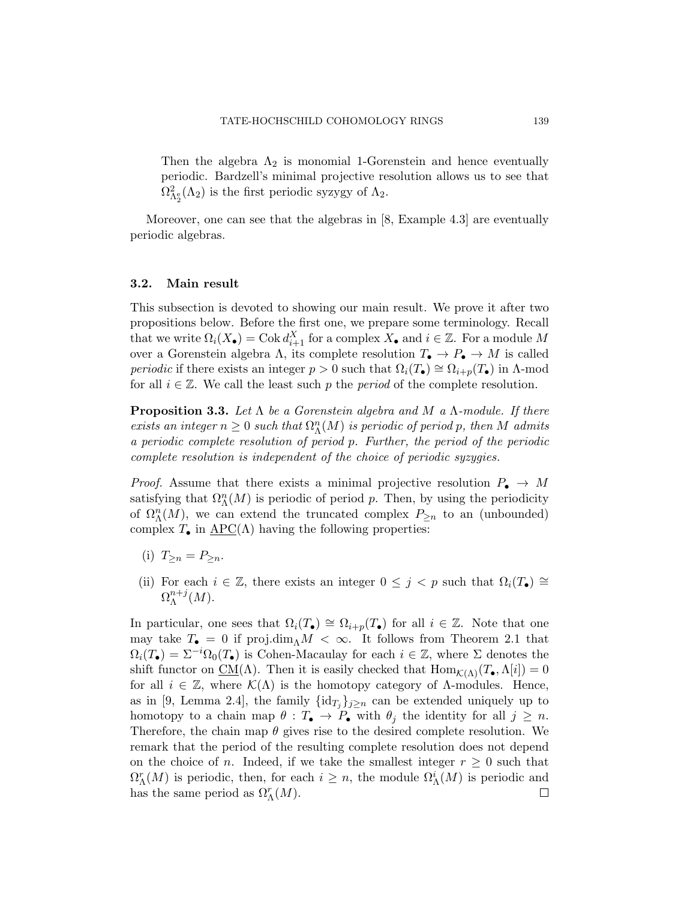Then the algebra  $\Lambda_2$  is monomial 1-Gorenstein and hence eventually periodic. Bardzell's minimal projective resolution allows us to see that  $\Omega_{\Lambda_2^{\circ}}^2(\Lambda_2)$  is the first periodic syzygy of  $\Lambda_2$ .

Moreover, one can see that the algebras in [8, Example 4.3] are eventually periodic algebras.

#### **3.2. Main result**

This subsection is devoted to showing our main result. We prove it after two propositions below. Before the first one, we prepare some terminology. Recall that we write  $\Omega_i(X_{\bullet}) = \text{Cok } d_{i+1}^X$  for a complex  $X_{\bullet}$  and  $i \in \mathbb{Z}$ . For a module  $M$ over a Gorenstein algebra  $\Lambda$ , its complete resolution  $T_{\bullet} \to P_{\bullet} \to M$  is called *periodic* if there exists an integer  $p > 0$  such that  $\Omega_i(T_{\bullet}) \cong \Omega_{i+p}(T_{\bullet})$  in Λ-mod for all  $i \in \mathbb{Z}$ . We call the least such p the period of the complete resolution.

**Proposition 3.3.** *Let* Λ *be a Gorenstein algebra and M a* Λ*-module. If there exists an integer*  $n \geq 0$  *such that*  $\Omega_{\Lambda}^n(M)$  *is periodic of period p, then M admits a periodic complete resolution of period p. Further, the period of the periodic complete resolution is independent of the choice of periodic syzygies.*

*Proof.* Assume that there exists a minimal projective resolution  $P_{\bullet} \to M$ satisfying that  $\Omega_{\Lambda}^n(M)$  is periodic of period *p*. Then, by using the periodicity of  $\Omega_{\Lambda}^n(M)$ , we can extend the truncated complex  $P_{\geq n}$  to an (unbounded) complex  $T_{\bullet}$  in  $\text{APC}(\Lambda)$  having the following properties:

- (i)  $T_{\geq n} = P_{\geq n}$ .
- (ii) For each  $i \in \mathbb{Z}$ , there exists an integer  $0 \leq j \leq p$  such that  $\Omega_i(T_{\bullet}) \cong$  $\Omega_\Lambda^{n+j}$  $_{\Lambda}^{n+j}(M).$

In particular, one sees that  $\Omega_i(T_{\bullet}) \cong \Omega_{i+p}(T_{\bullet})$  for all  $i \in \mathbb{Z}$ . Note that one may take  $T_{\bullet} = 0$  if  $\text{proj.dim}_{\Lambda} M < \infty$ . It follows from Theorem 2.1 that  $\Omega_i(T_{\bullet}) = \Sigma^{-i}\Omega_0(T_{\bullet})$  is Cohen-Macaulay for each  $i \in \mathbb{Z}$ , where  $\Sigma$  denotes the shift functor on  $\underline{CM}(\Lambda)$ . Then it is easily checked that  $\text{Hom}_{\mathcal{K}(\Lambda)}(T_{\bullet},\Lambda[i])=0$ for all  $i \in \mathbb{Z}$ , where  $\mathcal{K}(\Lambda)$  is the homotopy category of  $\Lambda$ -modules. Hence, as in [9, Lemma 2.4], the family  $\{id_{T_j}\}_{j\geq n}$  can be extended uniquely up to homotopy to a chain map  $\theta : T_{\bullet} \to P_{\bullet}$  with  $\theta_j$  the identity for all  $j \geq n$ . Therefore, the chain map *θ* gives rise to the desired complete resolution. We remark that the period of the resulting complete resolution does not depend on the choice of *n*. Indeed, if we take the smallest integer  $r \geq 0$  such that  $\Omega_{\Lambda}^r(M)$  is periodic, then, for each  $i \geq n$ , the module  $\Omega_{\Lambda}^i(M)$  is periodic and has the same period as  $\Omega_{\Lambda}^r(M)$ .  $\Box$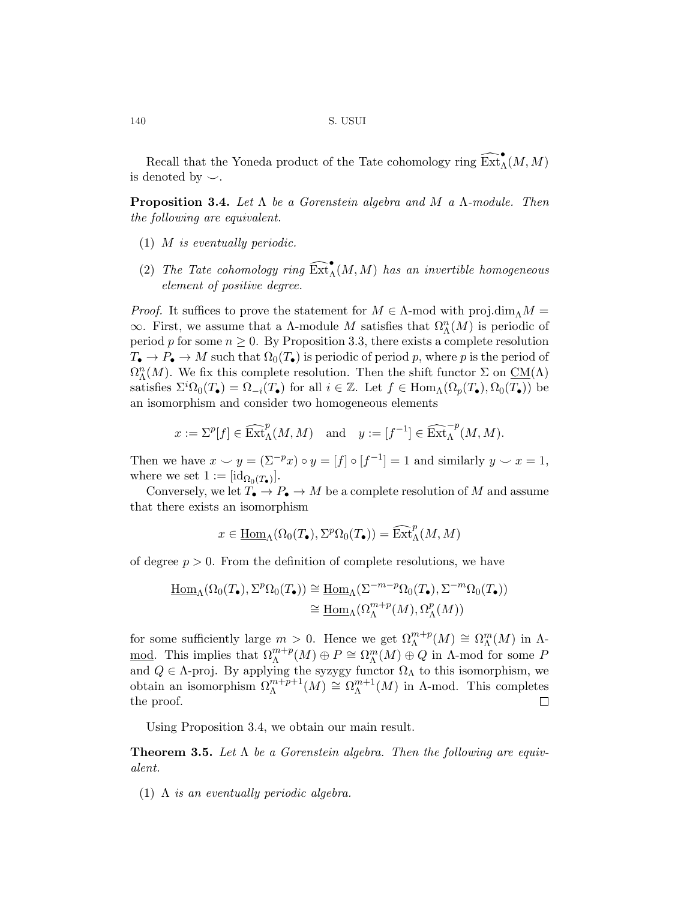Recall that the Yoneda product of the Tate cohomology ring  $\widehat{\operatorname{Ext}}_{\Lambda}^{\bullet}(M,M)$ is denoted by  $\smile$ .

**Proposition 3.4.** *Let* Λ *be a Gorenstein algebra and M a* Λ*-module. Then the following are equivalent.*

- (1) *M is eventually periodic.*
- (2) *The Tate cohomology ring*  $\widehat{\text{Ext}}_{\Lambda}^{\bullet}(M, M)$  *has an invertible homogeneous element of positive degree.*

*Proof.* It suffices to prove the statement for  $M \in \Lambda$ -mod with proj.dim $\Lambda M =$  $\infty$ . First, we assume that a Λ-module *M* satisfies that  $Ω<sup>n</sup><sub>Λ</sub>(M)$  is periodic of period *p* for some  $n \geq 0$ . By Proposition 3.3, there exists a complete resolution  $T_{\bullet} \to P_{\bullet} \to M$  such that  $\Omega_0(T_{\bullet})$  is periodic of period *p*, where *p* is the period of  $\Omega_{\Lambda}^n(M)$ . We fix this complete resolution. Then the shift functor  $\Sigma$  on  $\underline{\mathrm{CM}}(\Lambda)$ satisfies  $\Sigma^{i}\Omega_{0}(T_{\bullet}) = \Omega_{-i}(T_{\bullet})$  for all  $i \in \mathbb{Z}$ . Let  $f \in \text{Hom}_{\Lambda}(\Omega_{p}(T_{\bullet}), \Omega_{0}(T_{\bullet}))$  be an isomorphism and consider two homogeneous elements

$$
x := \Sigma^p[f] \in \widehat{\operatorname{Ext}}_{\Lambda}^p(M, M) \text{ and } y := [f^{-1}] \in \widehat{\operatorname{Ext}}_{\Lambda}^{-p}(M, M).
$$

Then we have  $x \smile y = (\Sigma^{-p} x) \circ y = [f] \circ [f^{-1}] = 1$  and similarly  $y \smile x = 1$ , where we set  $1 := [\mathrm{id}_{\Omega_0(T_\bullet)}]$ .

Conversely, we let  $T_{\bullet} \to P_{\bullet} \to M$  be a complete resolution of M and assume that there exists an isomorphism

$$
x \in \underline{\mathrm{Hom}}_{\Lambda}(\Omega_0(T_{\bullet}), \Sigma^p \Omega_0(T_{\bullet})) = \widehat{\mathrm{Ext}}_{\Lambda}^p(M, M)
$$

of degree  $p > 0$ . From the definition of complete resolutions, we have

$$
\underline{\mathrm{Hom}}_{\Lambda}(\Omega_0(T_{\bullet}), \Sigma^p \Omega_0(T_{\bullet})) \cong \underline{\mathrm{Hom}}_{\Lambda}(\Sigma^{-m-p} \Omega_0(T_{\bullet}), \Sigma^{-m} \Omega_0(T_{\bullet}))
$$

$$
\cong \underline{\mathrm{Hom}}_{\Lambda}(\Omega_{\Lambda}^{m+p}(M), \Omega_{\Lambda}^p(M))
$$

for some sufficiently large  $m > 0$ . Hence we get  $\Omega_{\Lambda}^{m+p}(M) \cong \Omega_{\Lambda}^{m}(M)$  in  $\Lambda$ -<u>mod</u>. This implies that  $\Omega_{\Lambda}^{m+p}(M) \oplus P \cong \Omega_{\Lambda}^{m}(M) \oplus Q$  in  $\Lambda$ -mod for some *P* and  $Q \in \Lambda$ -proj. By applying the syzygy functor  $\Omega_{\Lambda}$  to this isomorphism, we obtain an isomorphism  $\Omega_{\Lambda}^{m+p+1}(M) \cong \Omega_{\Lambda}^{m+1}$  ${}_{\Lambda}^{m+1}(M)$  in  $\Lambda$ -mod. This completes the proof.  $\Box$ 

Using Proposition 3.4, we obtain our main result.

**Theorem 3.5.** *Let* Λ *be a Gorenstein algebra. Then the following are equivalent.*

(1) Λ *is an eventually periodic algebra.*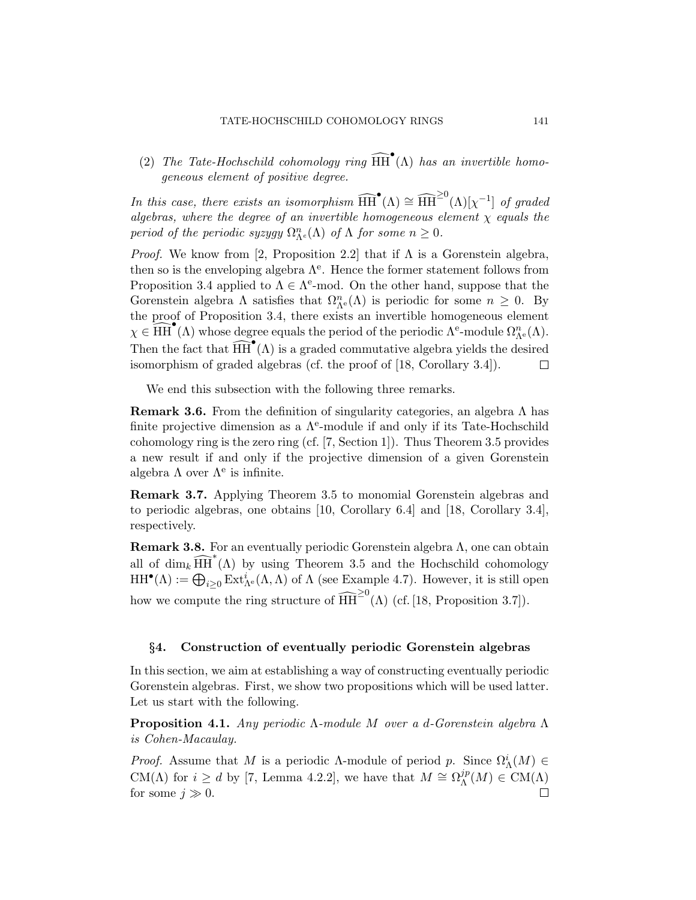(2) *The Tate-Hochschild cohomology ring*  $\widehat{HH}^{\bullet}(\Lambda)$  *has an invertible homogeneous element of positive degree.*

*In this case, there exists an isomorphism*  $\widehat{HH}^{\bullet}(\Lambda) \cong \widehat{HH}^{\geq 0}(\Lambda)[\chi^{-1}]$  *of graded algebras, where the degree of an invertible homogeneous element χ equals the period of the periodic syzygy*  $\Omega_{\Lambda}^n(\Lambda)$  *of*  $\Lambda$  *for some*  $n \geq 0$ *.* 

*Proof.* We know from [2, Proposition 2.2] that if  $\Lambda$  is a Gorenstein algebra, then so is the enveloping algebra  $\Lambda^e$ . Hence the former statement follows from Proposition 3.4 applied to  $\Lambda \in \Lambda^e$ -mod. On the other hand, suppose that the Gorenstein algebra  $\Lambda$  satisfies that  $\Omega_{\Lambda^e}^n(\Lambda)$  is periodic for some  $n \geq 0$ . By the proof of Proposition 3.4, there exists an invertible homogeneous element  $\chi \in \widehat{HH}^{\bullet}(\Lambda)$  whose degree equals the period of the periodic  $\Lambda^{\mathbf{e}}$ -module  $\Omega_{\Lambda^{\mathbf{e}}}^n(\Lambda)$ . Then the fact that  $\widehat{HH}^{\bullet}(\Lambda)$  is a graded commutative algebra yields the desired isomorphism of graded algebras (cf. the proof of [18, Corollary 3.4]).  $\Box$ 

We end this subsection with the following three remarks.

**Remark 3.6.** From the definition of singularity categories, an algebra Λ has finite projective dimension as a  $\Lambda^e$ -module if and only if its Tate-Hochschild cohomology ring is the zero ring (cf. [7, Section 1]). Thus Theorem 3.5 provides a new result if and only if the projective dimension of a given Gorenstein algebra  $\Lambda$  over  $\Lambda^e$  is infinite.

**Remark 3.7.** Applying Theorem 3.5 to monomial Gorenstein algebras and to periodic algebras, one obtains [10, Corollary 6.4] and [18, Corollary 3.4], respectively.

**Remark 3.8.** For an eventually periodic Gorenstein algebra  $\Lambda$ , one can obtain all of  $\dim_k \widehat{HH}^*(\Lambda)$  by using Theorem 3.5 and the Hochschild cohomology  $HH^{\bullet}(\Lambda) := \bigoplus_{i \geq 0} Ext^i_{\Lambda^e}(\Lambda, \Lambda)$  of  $\Lambda$  (see Example 4.7). However, it is still open how we compute the ring structure of  $\widehat{HH}^{\geq 0}(\Lambda)$  (cf. [18, Proposition 3.7]).

#### *§***4. Construction of eventually periodic Gorenstein algebras**

In this section, we aim at establishing a way of constructing eventually periodic Gorenstein algebras. First, we show two propositions which will be used latter. Let us start with the following.

**Proposition 4.1.** *Any periodic* Λ*-module M over a d-Gorenstein algebra* Λ *is Cohen-Macaulay.*

*Proof.* Assume that *M* is a periodic *Λ*-module of period *p*. Since  $\Omega^i_{\Lambda}(M) \in$ CM( $\Lambda$ ) for *i*  $\geq d$  by [7, Lemma 4.2.2], we have that  $M \cong \Omega_{\Lambda}^{jp}$  $\Lambda^{jp}(M) \in CM(\Lambda)$ for some  $j \gg 0$ .  $\Box$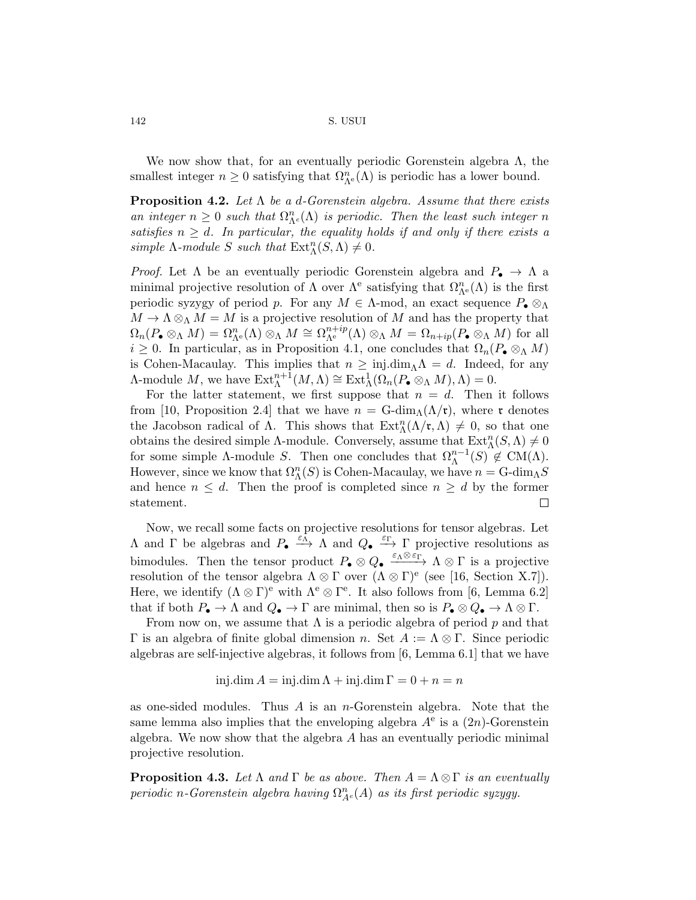We now show that, for an eventually periodic Gorenstein algebra  $\Lambda$ , the smallest integer  $n \geq 0$  satisfying that  $\Omega_{\Lambda^e}^n(\Lambda)$  is periodic has a lower bound.

**Proposition 4.2.** *Let* Λ *be a d-Gorenstein algebra. Assume that there exists an integer*  $n \geq 0$  *such that*  $\Omega_{\Lambda^e}^n(\Lambda)$  *is periodic. Then the least such integer n satisfies*  $n \geq d$ *. In particular, the equality holds if and only if there exists a simple*  $\Lambda$ *-module*  $S$  *such that*  $\text{Ext}^n_{\Lambda}(S, \Lambda) \neq 0$ *.* 

*Proof.* Let  $\Lambda$  be an eventually periodic Gorenstein algebra and  $P_{\bullet} \to \Lambda$  a minimal projective resolution of  $\Lambda$  over  $\Lambda^e$  satisfying that  $\Omega^n_{\Lambda^e}(\Lambda)$  is the first periodic syzygy of period *p*. For any *M ∈* Λ-mod, an exact sequence *P• ⊗*<sup>Λ</sup>  $M \to \Lambda \otimes_{\Lambda} M = M$  is a projective resolution of *M* and has the property that  $\Omega_n(P_{\bullet} \otimes_{\Lambda} M) = \Omega_{\Lambda^e}^n(\Lambda) \otimes_{\Lambda} M \cong \Omega_{\Lambda^e}^{n+ip}(\Lambda) \otimes_{\Lambda} M = \Omega_{n+ip}(P_{\bullet} \otimes_{\Lambda} M)$  for all  $i \geq 0$ . In particular, as in Proposition 4.1, one concludes that  $\Omega_n(P \otimes_M M)$ is Cohen-Macaulay. This implies that  $n \geq inj.dim_\Lambda \Lambda = d$ . Indeed, for any  $\Lambda$ -module  $M$ , we have  $\text{Ext}_{\Lambda}^{n+1}(M, \Lambda) \cong \text{Ext}_{\Lambda}^{1}(\Omega_{n}(P_{\bullet} \otimes_{\Lambda} M), \Lambda) = 0.$ 

For the latter statement, we first suppose that  $n = d$ . Then it follows from [10, Proposition 2.4] that we have  $n = G\text{-dim}_{\Lambda}(\Lambda/\mathfrak{r})$ , where r denotes the Jacobson radical of  $\Lambda$ . This shows that  $\text{Ext}_{\Lambda}^n(\Lambda/\mathfrak{r},\Lambda) \neq 0$ , so that one obtains the desired simple  $\Lambda$ -module. Conversely, assume that  $\text{Ext}_{\Lambda}^{n}(S,\Lambda) \neq 0$ for some simple  $\Lambda$ -module *S*. Then one concludes that  $\Omega_{\Lambda}^{n-1}(S) \notin CM(\Lambda)$ . However, since we know that  $\Omega_{\Lambda}^n(S)$  is Cohen-Macaulay, we have  $n = \text{G-dim}_{\Lambda}S$ and hence  $n \leq d$ . Then the proof is completed since  $n \geq d$  by the former  $\Box$ statement.

Now, we recall some facts on projective resolutions for tensor algebras. Let  $\Lambda$  and  $\Gamma$  be algebras and  $P_{\bullet} \xrightarrow{\varepsilon_{\Lambda}} \Lambda$  and  $Q_{\bullet} \xrightarrow{\varepsilon_{\Gamma}} \Gamma$  projective resolutions as bimodules. Then the tensor product  $P_{\bullet} \otimes Q_{\bullet} \xrightarrow{\varepsilon_{\Lambda} \otimes \varepsilon_{\Gamma}} \Lambda \otimes \Gamma$  is a projective resolution of the tensor algebra  $\Lambda \otimes \Gamma$  over  $(\Lambda \otimes \Gamma)^e$  (see [16, Section X.7]). Here, we identify  $(\Lambda \otimes \Gamma)^e$  with  $\Lambda^e \otimes \Gamma^e$ . It also follows from [6, Lemma 6.2] that if both  $P_{\bullet} \to \Lambda$  and  $Q_{\bullet} \to \Gamma$  are minimal, then so is  $P_{\bullet} \otimes Q_{\bullet} \to \Lambda \otimes \Gamma$ .

From now on, we assume that  $\Lambda$  is a periodic algebra of period  $p$  and that Γ is an algebra of finite global dimension *n*. Set *A* := Λ *⊗* Γ. Since periodic algebras are self-injective algebras, it follows from [6, Lemma 6.1] that we have

 $\sin \theta A = \sin \theta A + \sin \theta A \cdot \sin \theta = 0 + n = n$ 

as one-sided modules. Thus *A* is an *n*-Gorenstein algebra. Note that the same lemma also implies that the enveloping algebra  $A^e$  is a  $(2n)$ -Gorenstein algebra. We now show that the algebra *A* has an eventually periodic minimal projective resolution.

**Proposition 4.3.** *Let*  $\Lambda$  *and*  $\Gamma$  *be as above. Then*  $A = \Lambda \otimes \Gamma$  *is an eventually periodic n*-Gorenstein algebra having  $\Omega_{A}^{n}(A)$  *as its first periodic syzygy.*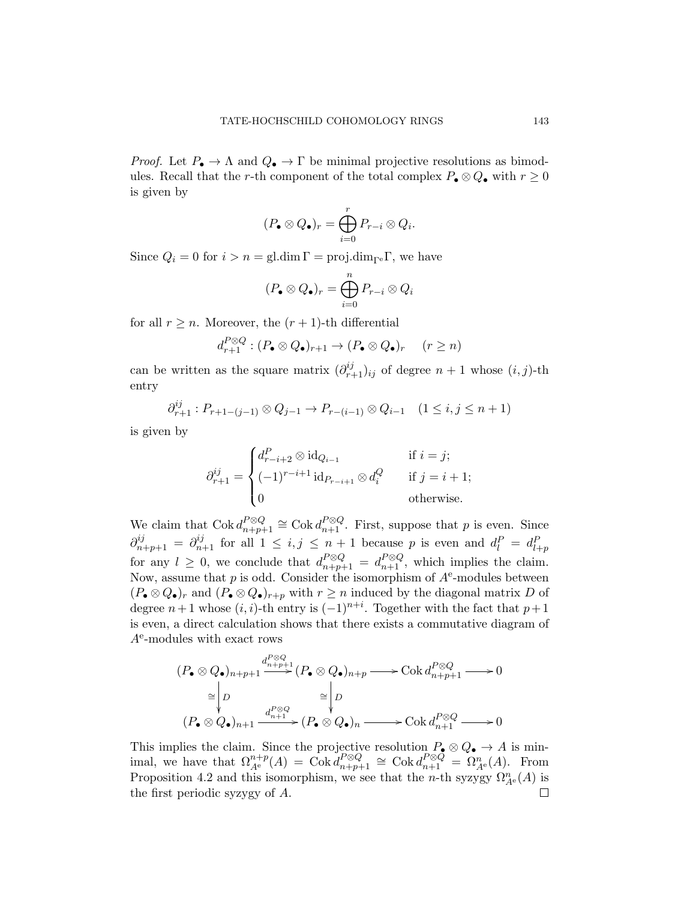*Proof.* Let  $P_{\bullet} \to \Lambda$  and  $Q_{\bullet} \to \Gamma$  be minimal projective resolutions as bimodules. Recall that the *r*-th component of the total complex  $P_{\bullet} \otimes Q_{\bullet}$  with  $r \geq 0$ is given by

$$
(P_{\bullet} \otimes Q_{\bullet})_r = \bigoplus_{i=0}^r P_{r-i} \otimes Q_i.
$$

Since  $Q_i = 0$  for  $i > n = \text{gl.dim}\,\Gamma = \text{proj.dim}\,\Gamma$ , we have

$$
(P_{\bullet} \otimes Q_{\bullet})_r = \bigoplus_{i=0}^n P_{r-i} \otimes Q_i
$$

for all  $r \geq n$ . Moreover, the  $(r + 1)$ -th differential

$$
d_{r+1}^{P\otimes Q} : (P_{\bullet} \otimes Q_{\bullet})_{r+1} \to (P_{\bullet} \otimes Q_{\bullet})_r \quad (r \ge n)
$$

can be written as the square matrix  $(\partial_{r+1}^{ij})_{ij}$  of degree  $n+1$  whose  $(i, j)$ -th entry

$$
\partial_{r+1}^{ij} : P_{r+1-(j-1)} \otimes Q_{j-1} \to P_{r-(i-1)} \otimes Q_{i-1} \quad (1 \le i, j \le n+1)
$$

is given by

$$
\partial_{r+1}^{ij} = \begin{cases} d_{r-i+2}^P \otimes \text{id}_{Q_{i-1}} & \text{if } i = j; \\ (-1)^{r-i+1} \text{id}_{P_{r-i+1}} \otimes d_i^Q & \text{if } j = i+1; \\ 0 & \text{otherwise.} \end{cases}
$$

We claim that  $Cok \, d_{n+p+1}^{P\otimes Q} \cong \text{Cok} \, d_{n+1}^{P\otimes Q}$ . First, suppose that *p* is even. Since  $\partial_{n+p+1}^{ij} = \partial_{n+1}^{ij}$  for all  $1 \leq i, j \leq n+1$  because *p* is even and  $d_l^P = d_{l+p}^P$ for any  $l \geq 0$ , we conclude that  $d_{n+p+1}^{P\otimes Q} = d_{n+1}^{P\otimes Q}$ , which implies the claim. Now, assume that p is odd. Consider the isomorphism of  $A<sup>e</sup>$ -modules between  $(P_{\bullet} \otimes Q_{\bullet})_r$  and  $(P_{\bullet} \otimes Q_{\bullet})_{r+p}$  with  $r \geq n$  induced by the diagonal matrix *D* of degree  $n+1$  whose  $(i, i)$ -th entry is  $(-1)^{n+i}$ . Together with the fact that  $p+1$ is even, a direct calculation shows that there exists a commutative diagram of *A*e -modules with exact rows

$$
(P_{\bullet} \otimes Q_{\bullet})_{n+p+1} \xrightarrow{d_{n+p+1}^{P \otimes Q}} (P_{\bullet} \otimes Q_{\bullet})_{n+p} \longrightarrow \text{Cok } d_{n+p+1}^{P \otimes Q} \longrightarrow 0
$$
  
\n
$$
\cong \begin{vmatrix} D & \cong \downarrow D \\ D & \oplus \downarrow P \\ (P_{\bullet} \otimes Q_{\bullet})_{n+1} \xrightarrow{d_{n+1}^{P \otimes Q}} (P_{\bullet} \otimes Q_{\bullet})_{n} \longrightarrow \text{Cok } d_{n+1}^{P \otimes Q} \longrightarrow 0 \end{vmatrix}
$$

This implies the claim. Since the projective resolution  $P_{\bullet} \otimes Q_{\bullet} \to A$  is minimal, we have that  $\Omega_{A^e}^{n+p}(A) = \text{Cok } d_{n+p+1}^{P\otimes Q} \cong \text{Cok } d_{n+1}^{P\otimes Q} = \Omega_{A^e}^n(A)$ . From Proposition 4.2 and this isomorphism, we see that the *n*-th syzygy  $\Omega_{A^e}^n(A)$  is the first periodic syzygy of *A*.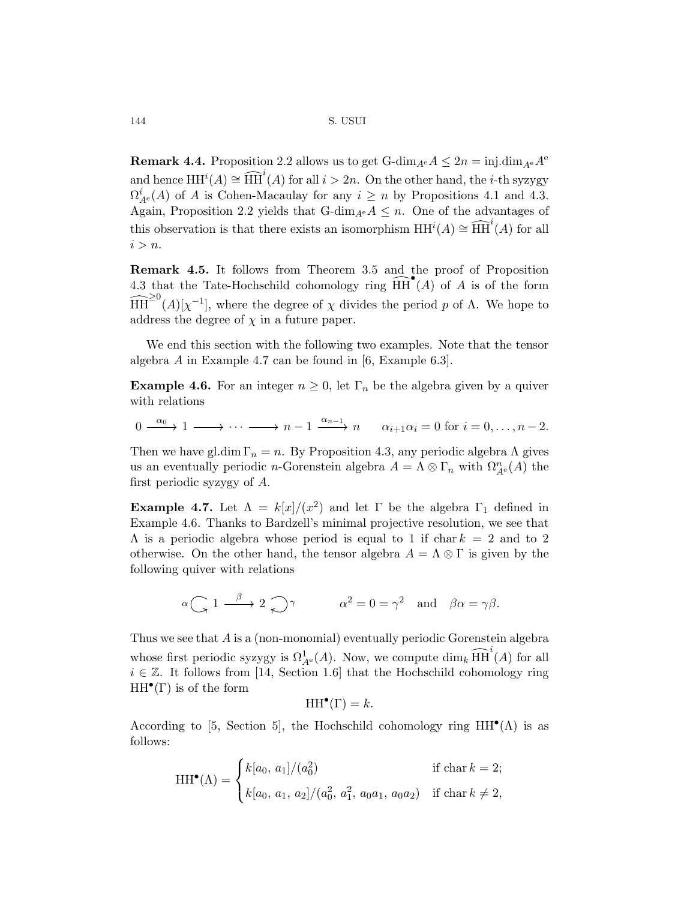**Remark 4.4.** Proposition 2.2 allows us to get G-dim<sub>*A*</sub>e  $A \leq 2n = \text{inj.dim}_{A}e A^e$ and hence  $HH^{i}(A) \cong \widehat{HH}^{i}(A)$  for all  $i > 2n$ . On the other hand, the *i*-th syzygy  $\Omega_{A^e}^i(A)$  of *A* is Cohen-Macaulay for any  $i \geq n$  by Propositions 4.1 and 4.3. Again, Proposition 2.2 yields that G-dim<sub>*A*e</sub> $A \leq n$ . One of the advantages of this observation is that there exists an isomorphism  $HH^{i}(A) \cong \widehat{HH}^{i}(A)$  for all *i > n*.

**Remark 4.5.** It follows from Theorem 3.5 and the proof of Proposition 4.3 that the Tate-Hochschild cohomology ring  $\widehat{HH}^{\bullet}(A)$  of *A* is of the form  $\widehat{HH}^{\geq 0}(A)[\chi^{-1}]$ , where the degree of  $\chi$  divides the period *p* of  $\Lambda$ . We hope to address the degree of  $\chi$  in a future paper.

We end this section with the following two examples. Note that the tensor algebra *A* in Example 4.7 can be found in [6, Example 6.3].

**Example 4.6.** For an integer  $n \geq 0$ , let  $\Gamma_n$  be the algebra given by a quiver with relations

 $0 \xrightarrow{\alpha_0} 1 \longrightarrow \cdots \longrightarrow n-1 \xrightarrow{\alpha_{n-1}} n \qquad \alpha_{i+1}\alpha_i = 0 \text{ for } i = 0, \ldots, n-2.$ 

Then we have gl.dim  $\Gamma_n = n$ . By Proposition 4.3, any periodic algebra  $\Lambda$  gives us an eventually periodic *n*-Gorenstein algebra  $A = \Lambda \otimes \Gamma_n$  with  $\Omega_{A^e}^n(A)$  the first periodic syzygy of *A*.

**Example 4.7.** Let  $\Lambda = k[x]/(x^2)$  and let Γ be the algebra  $\Gamma_1$  defined in Example 4.6. Thanks to Bardzell's minimal projective resolution, we see that  $\Lambda$  is a periodic algebra whose period is equal to 1 if char  $k = 2$  and to 2 otherwise. On the other hand, the tensor algebra  $A = \Lambda \otimes \Gamma$  is given by the following quiver with relations

$$
\alpha \underset{\sim}{\bigcap} 1 \xrightarrow{\beta} 2 \underset{\sim}{\bigcap} \gamma
$$
  $\alpha^2 = 0 = \gamma^2$  and  $\beta \alpha = \gamma \beta$ .

Thus we see that *A* is a (non-monomial) eventually periodic Gorenstein algebra whose first periodic syzygy is  $\Omega^1_{A^e}(A)$ . Now, we compute  $\dim_k \widehat{\text{HH}}^i(A)$  for all *i* ∈ Z. It follows from [14, Section 1.6] that the Hochschild cohomology ring HH*•* (Γ) is of the form

$$
\mathrm{HH}^{\bullet}(\Gamma) = k.
$$

According to [5, Section 5], the Hochschild cohomology ring  $HH^{\bullet}(\Lambda)$  is as follows:

$$
HH^{\bullet}(\Lambda) = \begin{cases} k[a_0, a_1]/(a_0^2) & \text{if char } k = 2; \\ k[a_0, a_1, a_2]/(a_0^2, a_1^2, a_0a_1, a_0a_2) & \text{if char } k \neq 2, \end{cases}
$$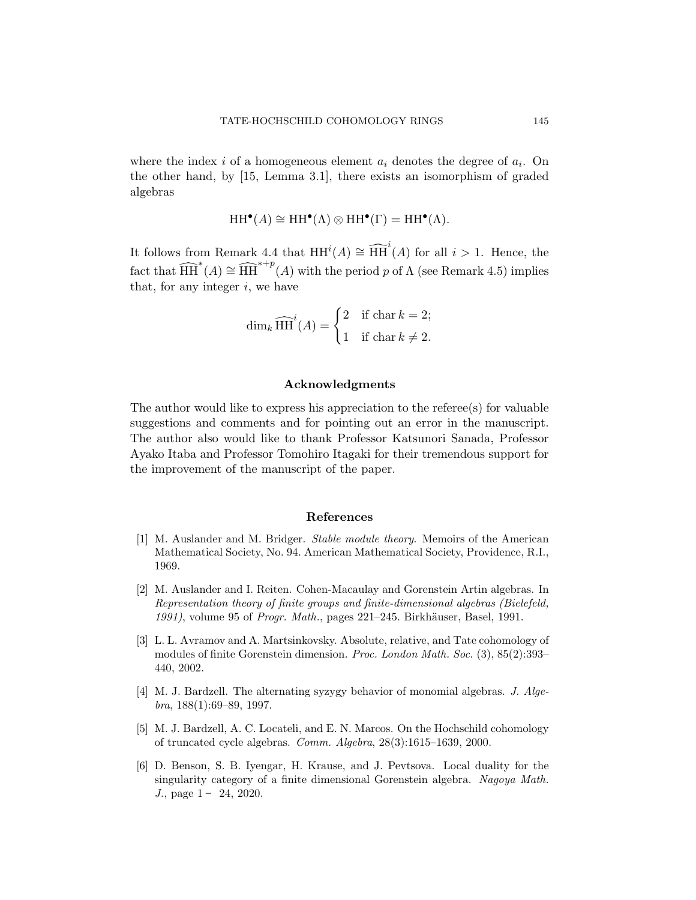where the index  $i$  of a homogeneous element  $a_i$  denotes the degree of  $a_i$ . On the other hand, by [15, Lemma 3.1], there exists an isomorphism of graded algebras

$$
\operatorname{HH}\nolimits^\bullet(A) \cong \operatorname{HH}\nolimits^\bullet(\Lambda) \otimes \operatorname{HH}\nolimits^\bullet(\Gamma) = \operatorname{HH}\nolimits^\bullet(\Lambda).
$$

It follows from Remark 4.4 that  $HH^{i}(A) \cong \widehat{HH}^{i}(A)$  for all  $i > 1$ . Hence, the fact that  $\widehat{HH}^*(A) \cong \widehat{HH}^{*+p}(A)$  with the period *p* of  $\Lambda$  (see Remark 4.5) implies that, for any integer *i*, we have

$$
\dim_k \widehat{\text{HH}}^i(A) = \begin{cases} 2 & \text{if } \text{char } k = 2; \\ 1 & \text{if } \text{char } k \neq 2. \end{cases}
$$

#### **Acknowledgments**

The author would like to express his appreciation to the referee(s) for valuable suggestions and comments and for pointing out an error in the manuscript. The author also would like to thank Professor Katsunori Sanada, Professor Ayako Itaba and Professor Tomohiro Itagaki for their tremendous support for the improvement of the manuscript of the paper.

## **References**

- [1] M. Auslander and M. Bridger. *Stable module theory*. Memoirs of the American Mathematical Society, No. 94. American Mathematical Society, Providence, R.I., 1969.
- [2] M. Auslander and I. Reiten. Cohen-Macaulay and Gorenstein Artin algebras. In *Representation theory of finite groups and finite-dimensional algebras (Bielefeld, 1991*), volume 95 of *Progr. Math.*, pages 221–245. Birkhäuser, Basel, 1991.
- [3] L. L. Avramov and A. Martsinkovsky. Absolute, relative, and Tate cohomology of modules of finite Gorenstein dimension. *Proc. London Math. Soc.* (3), 85(2):393– 440, 2002.
- [4] M. J. Bardzell. The alternating syzygy behavior of monomial algebras. *J. Algebra*, 188(1):69–89, 1997.
- [5] M. J. Bardzell, A. C. Locateli, and E. N. Marcos. On the Hochschild cohomology of truncated cycle algebras. *Comm. Algebra*, 28(3):1615–1639, 2000.
- [6] D. Benson, S. B. Iyengar, H. Krause, and J. Pevtsova. Local duality for the singularity category of a finite dimensional Gorenstein algebra. *Nagoya Math. J.*, page  $1 - 24$ , 2020.